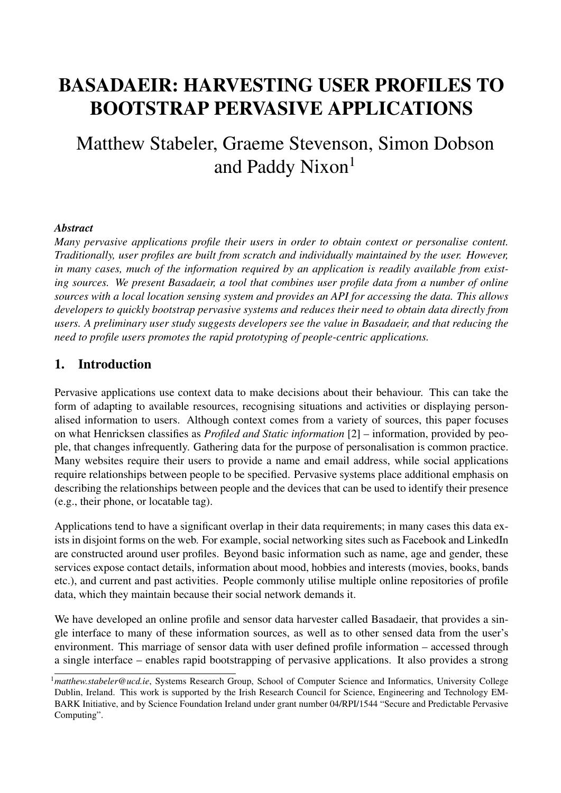# BASADAEIR: HARVESTING USER PROFILES TO BOOTSTRAP PERVASIVE APPLICATIONS

# Matthew Stabeler, Graeme Stevenson, Simon Dobson and Paddy Nixon<sup>1</sup>

#### *Abstract*

*Many pervasive applications profile their users in order to obtain context or personalise content. Traditionally, user profiles are built from scratch and individually maintained by the user. However, in many cases, much of the information required by an application is readily available from existing sources. We present Basadaeir, a tool that combines user profile data from a number of online sources with a local location sensing system and provides an API for accessing the data. This allows developers to quickly bootstrap pervasive systems and reduces their need to obtain data directly from users. A preliminary user study suggests developers see the value in Basadaeir, and that reducing the need to profile users promotes the rapid prototyping of people-centric applications.*

#### 1. Introduction

Pervasive applications use context data to make decisions about their behaviour. This can take the form of adapting to available resources, recognising situations and activities or displaying personalised information to users. Although context comes from a variety of sources, this paper focuses on what Henricksen classifies as *Profiled and Static information* [2] – information, provided by people, that changes infrequently. Gathering data for the purpose of personalisation is common practice. Many websites require their users to provide a name and email address, while social applications require relationships between people to be specified. Pervasive systems place additional emphasis on describing the relationships between people and the devices that can be used to identify their presence (e.g., their phone, or locatable tag).

Applications tend to have a significant overlap in their data requirements; in many cases this data exists in disjoint forms on the web. For example, social networking sites such as Facebook and LinkedIn are constructed around user profiles. Beyond basic information such as name, age and gender, these services expose contact details, information about mood, hobbies and interests (movies, books, bands etc.), and current and past activities. People commonly utilise multiple online repositories of profile data, which they maintain because their social network demands it.

We have developed an online profile and sensor data harvester called Basadaeir, that provides a single interface to many of these information sources, as well as to other sensed data from the user's environment. This marriage of sensor data with user defined profile information – accessed through a single interface – enables rapid bootstrapping of pervasive applications. It also provides a strong

<sup>1</sup>*matthew.stabeler@ucd.ie*, Systems Research Group, School of Computer Science and Informatics, University College Dublin, Ireland. This work is supported by the Irish Research Council for Science, Engineering and Technology EM-BARK Initiative, and by Science Foundation Ireland under grant number 04/RPI/1544 "Secure and Predictable Pervasive Computing".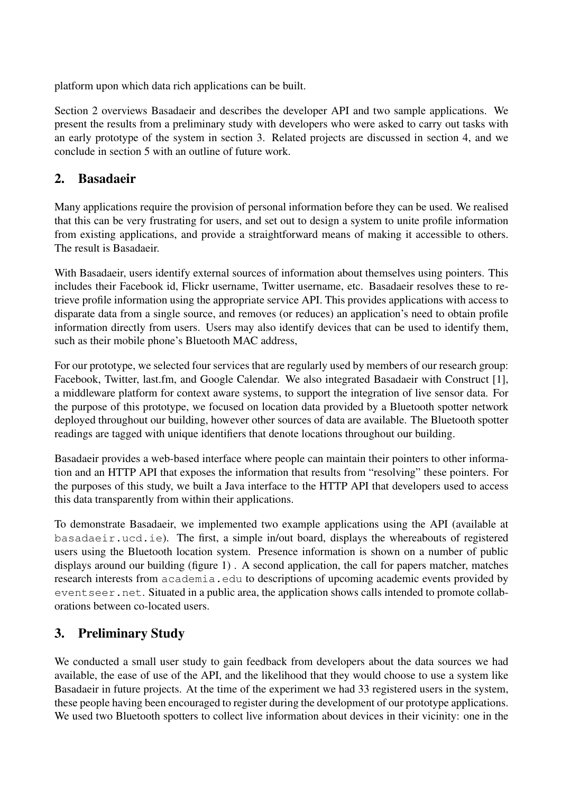platform upon which data rich applications can be built.

Section 2 overviews Basadaeir and describes the developer API and two sample applications. We present the results from a preliminary study with developers who were asked to carry out tasks with an early prototype of the system in section 3. Related projects are discussed in section 4, and we conclude in section 5 with an outline of future work.

#### 2. Basadaeir

Many applications require the provision of personal information before they can be used. We realised that this can be very frustrating for users, and set out to design a system to unite profile information from existing applications, and provide a straightforward means of making it accessible to others. The result is Basadaeir.

With Basadaeir, users identify external sources of information about themselves using pointers. This includes their Facebook id, Flickr username, Twitter username, etc. Basadaeir resolves these to retrieve profile information using the appropriate service API. This provides applications with access to disparate data from a single source, and removes (or reduces) an application's need to obtain profile information directly from users. Users may also identify devices that can be used to identify them, such as their mobile phone's Bluetooth MAC address,

For our prototype, we selected four services that are regularly used by members of our research group: Facebook, Twitter, last.fm, and Google Calendar. We also integrated Basadaeir with Construct [1], a middleware platform for context aware systems, to support the integration of live sensor data. For the purpose of this prototype, we focused on location data provided by a Bluetooth spotter network deployed throughout our building, however other sources of data are available. The Bluetooth spotter readings are tagged with unique identifiers that denote locations throughout our building.

Basadaeir provides a web-based interface where people can maintain their pointers to other information and an HTTP API that exposes the information that results from "resolving" these pointers. For the purposes of this study, we built a Java interface to the HTTP API that developers used to access this data transparently from within their applications.

To demonstrate Basadaeir, we implemented two example applications using the API (available at basadaeir.ucd.ie). The first, a simple in/out board, displays the whereabouts of registered users using the Bluetooth location system. Presence information is shown on a number of public displays around our building (figure 1) . A second application, the call for papers matcher, matches research interests from academia.edu to descriptions of upcoming academic events provided by eventseer.net. Situated in a public area, the application shows calls intended to promote collaborations between co-located users.

## 3. Preliminary Study

We conducted a small user study to gain feedback from developers about the data sources we had available, the ease of use of the API, and the likelihood that they would choose to use a system like Basadaeir in future projects. At the time of the experiment we had 33 registered users in the system, these people having been encouraged to register during the development of our prototype applications. We used two Bluetooth spotters to collect live information about devices in their vicinity: one in the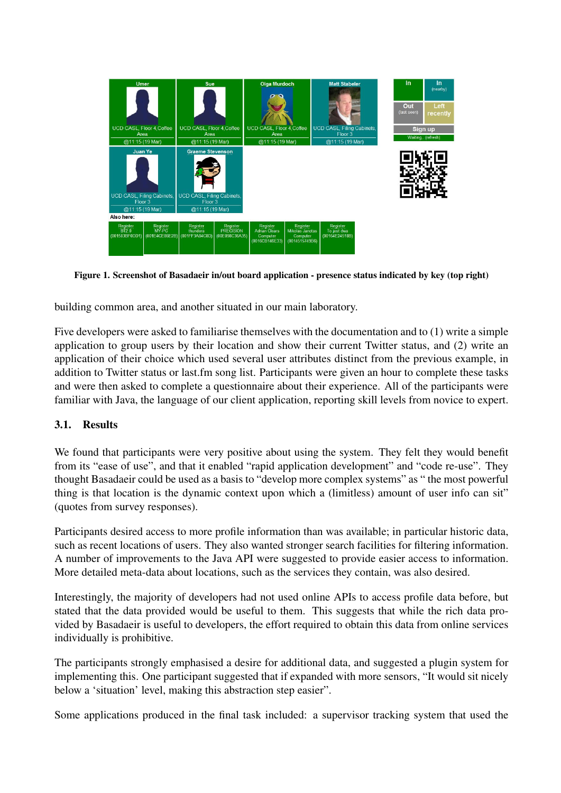

Figure 1. Screenshot of Basadaeir in/out board application - presence status indicated by key (top right)

building common area, and another situated in our main laboratory.

Five developers were asked to familiarise themselves with the documentation and to (1) write a simple application to group users by their location and show their current Twitter status, and (2) write an application of their choice which used several user attributes distinct from the previous example, in addition to Twitter status or last.fm song list. Participants were given an hour to complete these tasks and were then asked to complete a questionnaire about their experience. All of the participants were familiar with Java, the language of our client application, reporting skill levels from novice to expert.

#### 3.1. Results

We found that participants were very positive about using the system. They felt they would benefit from its "ease of use", and that it enabled "rapid application development" and "code re-use". They thought Basadaeir could be used as a basis to "develop more complex systems" as " the most powerful thing is that location is the dynamic context upon which a (limitless) amount of user info can sit" (quotes from survey responses).

Participants desired access to more profile information than was available; in particular historic data, such as recent locations of users. They also wanted stronger search facilities for filtering information. A number of improvements to the Java API were suggested to provide easier access to information. More detailed meta-data about locations, such as the services they contain, was also desired.

Interestingly, the majority of developers had not used online APIs to access profile data before, but stated that the data provided would be useful to them. This suggests that while the rich data provided by Basadaeir is useful to developers, the effort required to obtain this data from online services individually is prohibitive.

The participants strongly emphasised a desire for additional data, and suggested a plugin system for implementing this. One participant suggested that if expanded with more sensors, "It would sit nicely below a 'situation' level, making this abstraction step easier".

Some applications produced in the final task included: a supervisor tracking system that used the